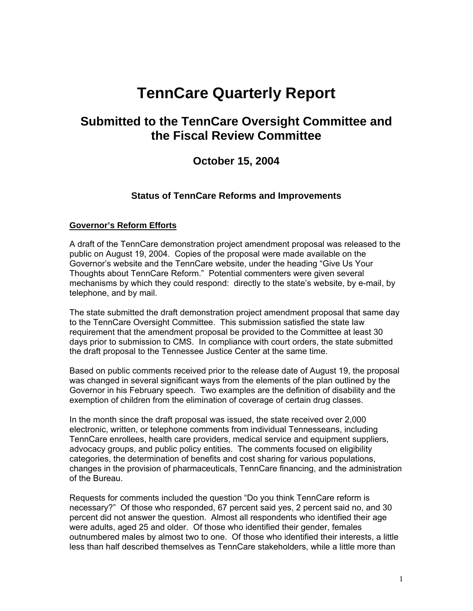# **TennCare Quarterly Report**

## **Submitted to the TennCare Oversight Committee and the Fiscal Review Committee**

## **October 15, 2004**

## **Status of TennCare Reforms and Improvements**

## **Governor's Reform Efforts**

A draft of the TennCare demonstration project amendment proposal was released to the public on August 19, 2004. Copies of the proposal were made available on the Governor's website and the TennCare website, under the heading "Give Us Your Thoughts about TennCare Reform." Potential commenters were given several mechanisms by which they could respond: directly to the state's website, by e-mail, by telephone, and by mail.

The state submitted the draft demonstration project amendment proposal that same day to the TennCare Oversight Committee. This submission satisfied the state law requirement that the amendment proposal be provided to the Committee at least 30 days prior to submission to CMS. In compliance with court orders, the state submitted the draft proposal to the Tennessee Justice Center at the same time.

Based on public comments received prior to the release date of August 19, the proposal was changed in several significant ways from the elements of the plan outlined by the Governor in his February speech. Two examples are the definition of disability and the exemption of children from the elimination of coverage of certain drug classes.

In the month since the draft proposal was issued, the state received over 2,000 electronic, written, or telephone comments from individual Tennesseans, including TennCare enrollees, health care providers, medical service and equipment suppliers, advocacy groups, and public policy entities. The comments focused on eligibility categories, the determination of benefits and cost sharing for various populations, changes in the provision of pharmaceuticals, TennCare financing, and the administration of the Bureau.

Requests for comments included the question "Do you think TennCare reform is necessary?" Of those who responded, 67 percent said yes, 2 percent said no, and 30 percent did not answer the question. Almost all respondents who identified their age were adults, aged 25 and older. Of those who identified their gender, females outnumbered males by almost two to one. Of those who identified their interests, a little less than half described themselves as TennCare stakeholders, while a little more than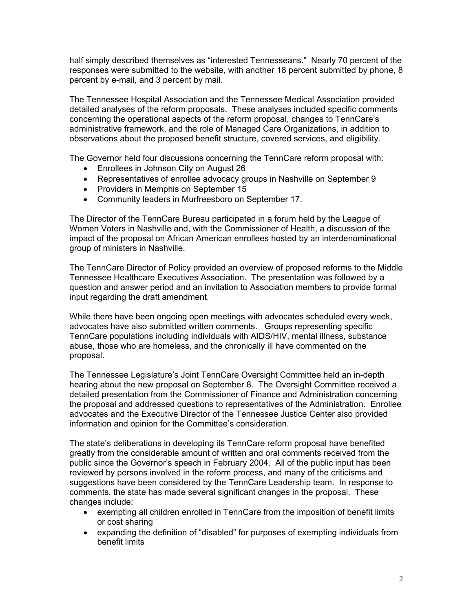half simply described themselves as "interested Tennesseans." Nearly 70 percent of the responses were submitted to the website, with another 18 percent submitted by phone, 8 percent by e-mail, and 3 percent by mail.

The Tennessee Hospital Association and the Tennessee Medical Association provided detailed analyses of the reform proposals. These analyses included specific comments concerning the operational aspects of the reform proposal, changes to TennCare's administrative framework, and the role of Managed Care Organizations, in addition to observations about the proposed benefit structure, covered services, and eligibility.

The Governor held four discussions concerning the TennCare reform proposal with:

- Enrollees in Johnson City on August 26
- Representatives of enrollee advocacy groups in Nashville on September 9
- Providers in Memphis on September 15
- Community leaders in Murfreesboro on September 17.

The Director of the TennCare Bureau participated in a forum held by the League of Women Voters in Nashville and, with the Commissioner of Health, a discussion of the impact of the proposal on African American enrollees hosted by an interdenominational group of ministers in Nashville.

The TennCare Director of Policy provided an overview of proposed reforms to the Middle Tennessee Healthcare Executives Association. The presentation was followed by a question and answer period and an invitation to Association members to provide formal input regarding the draft amendment.

While there have been ongoing open meetings with advocates scheduled every week, advocates have also submitted written comments. Groups representing specific TennCare populations including individuals with AIDS/HIV, mental illness, substance abuse, those who are homeless, and the chronically ill have commented on the proposal.

The Tennessee Legislature's Joint TennCare Oversight Committee held an in-depth hearing about the new proposal on September 8. The Oversight Committee received a detailed presentation from the Commissioner of Finance and Administration concerning the proposal and addressed questions to representatives of the Administration. Enrollee advocates and the Executive Director of the Tennessee Justice Center also provided information and opinion for the Committee's consideration.

The state's deliberations in developing its TennCare reform proposal have benefited greatly from the considerable amount of written and oral comments received from the public since the Governor's speech in February 2004. All of the public input has been reviewed by persons involved in the reform process, and many of the criticisms and suggestions have been considered by the TennCare Leadership team. In response to comments, the state has made several significant changes in the proposal. These changes include:

- exempting all children enrolled in TennCare from the imposition of benefit limits or cost sharing
- expanding the definition of "disabled" for purposes of exempting individuals from benefit limits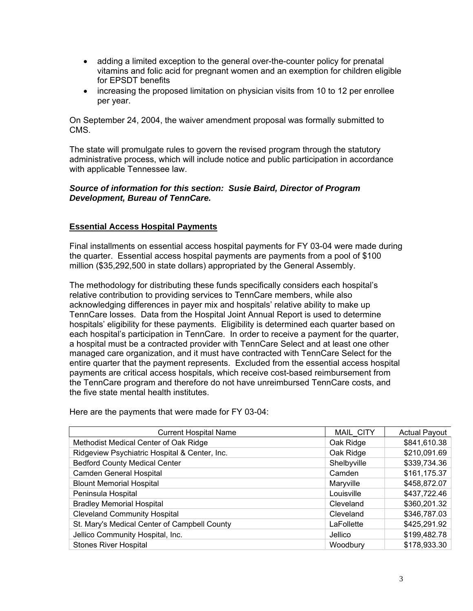- adding a limited exception to the general over-the-counter policy for prenatal vitamins and folic acid for pregnant women and an exemption for children eligible for EPSDT benefits
- increasing the proposed limitation on physician visits from 10 to 12 per enrollee per year.

On September 24, 2004, the waiver amendment proposal was formally submitted to CMS.

The state will promulgate rules to govern the revised program through the statutory administrative process, which will include notice and public participation in accordance with applicable Tennessee law.

## *Source of information for this section: Susie Baird, Director of Program Development, Bureau of TennCare.*

## **Essential Access Hospital Payments**

Final installments on essential access hospital payments for FY 03-04 were made during the quarter. Essential access hospital payments are payments from a pool of \$100 million (\$35,292,500 in state dollars) appropriated by the General Assembly.

The methodology for distributing these funds specifically considers each hospital's relative contribution to providing services to TennCare members, while also acknowledging differences in payer mix and hospitals' relative ability to make up TennCare losses. Data from the Hospital Joint Annual Report is used to determine hospitals' eligibility for these payments. Eligibility is determined each quarter based on each hospital's participation in TennCare. In order to receive a payment for the quarter, a hospital must be a contracted provider with TennCare Select and at least one other managed care organization, and it must have contracted with TennCare Select for the entire quarter that the payment represents. Excluded from the essential access hospital payments are critical access hospitals, which receive cost-based reimbursement from the TennCare program and therefore do not have unreimbursed TennCare costs, and the five state mental health institutes.

| <b>Current Hospital Name</b>                  | <b>MAIL CITY</b> | <b>Actual Payout</b> |
|-----------------------------------------------|------------------|----------------------|
| Methodist Medical Center of Oak Ridge         | Oak Ridge        | \$841,610.38         |
| Ridgeview Psychiatric Hospital & Center, Inc. | Oak Ridge        | \$210,091.69         |
| <b>Bedford County Medical Center</b>          | Shelbyville      | \$339,734.36         |
| Camden General Hospital                       | Camden           | \$161,175.37         |
| <b>Blount Memorial Hospital</b>               | Maryville        | \$458,872.07         |
| Peninsula Hospital                            | Louisville       | \$437,722.46         |
| <b>Bradley Memorial Hospital</b>              | Cleveland        | \$360,201.32         |
| <b>Cleveland Community Hospital</b>           | Cleveland        | \$346,787.03         |
| St. Mary's Medical Center of Campbell County  | LaFollette       | \$425,291.92         |
| Jellico Community Hospital, Inc.              | Jellico          | \$199,482.78         |
| <b>Stones River Hospital</b>                  | Woodbury         | \$178,933.30         |

Here are the payments that were made for FY 03-04: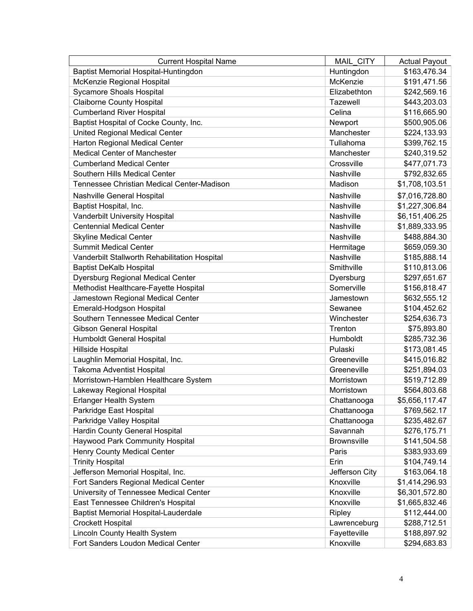| <b>Current Hospital Name</b>                  | <b>MAIL CITY</b>   | <b>Actual Payout</b> |
|-----------------------------------------------|--------------------|----------------------|
| Baptist Memorial Hospital-Huntingdon          | Huntingdon         | \$163,476.34         |
| McKenzie Regional Hospital                    | McKenzie           | \$191,471.56         |
| <b>Sycamore Shoals Hospital</b>               | Elizabethton       | \$242,569.16         |
| <b>Claiborne County Hospital</b>              | Tazewell           | \$443,203.03         |
| <b>Cumberland River Hospital</b>              | Celina             | \$116,665.90         |
| Baptist Hospital of Cocke County, Inc.        | Newport            | \$500,905.06         |
| <b>United Regional Medical Center</b>         | Manchester         | \$224,133.93         |
| Harton Regional Medical Center                | Tullahoma          | \$399,762.15         |
| <b>Medical Center of Manchester</b>           | Manchester         | \$240,319.52         |
| <b>Cumberland Medical Center</b>              | Crossville         | \$477,071.73         |
| Southern Hills Medical Center                 | Nashville          | \$792,832.65         |
| Tennessee Christian Medical Center-Madison    | Madison            | \$1,708,103.51       |
| Nashville General Hospital                    | Nashville          | \$7,016,728.80       |
| Baptist Hospital, Inc.                        | Nashville          | \$1,227,306.84       |
| Vanderbilt University Hospital                | Nashville          | \$6,151,406.25       |
| <b>Centennial Medical Center</b>              | Nashville          | \$1,889,333.95       |
| <b>Skyline Medical Center</b>                 | Nashville          | \$488,884.30         |
| <b>Summit Medical Center</b>                  | Hermitage          | \$659,059.30         |
| Vanderbilt Stallworth Rehabilitation Hospital | Nashville          | \$185,888.14         |
| <b>Baptist DeKalb Hospital</b>                | Smithville         | \$110,813.06         |
| Dyersburg Regional Medical Center             | Dyersburg          | \$297,651.67         |
| Methodist Healthcare-Fayette Hospital         | Somerville         | \$156,818.47         |
| Jamestown Regional Medical Center             | Jamestown          | \$632,555.12         |
| Emerald-Hodgson Hospital                      | Sewanee            | \$104,452.62         |
| Southern Tennessee Medical Center             | Winchester         | \$254,636.73         |
| <b>Gibson General Hospital</b>                | Trenton            | \$75,893.80          |
| Humboldt General Hospital                     | Humboldt           | \$285,732.36         |
| Hillside Hospital                             | Pulaski            | \$173,081.45         |
| Laughlin Memorial Hospital, Inc.              | Greeneville        | \$415,016.82         |
| Takoma Adventist Hospital                     | Greeneville        | \$251,894.03         |
| Morristown-Hamblen Healthcare System          | Morristown         | \$519,712.89         |
| Lakeway Regional Hospital                     | Morristown         | \$564,803.68         |
| <b>Erlanger Health System</b>                 | Chattanooga        | \$5,656,117.47       |
| Parkridge East Hospital                       | Chattanooga        | \$769,562.17         |
| Parkridge Valley Hospital                     | Chattanooga        | \$235,482.67         |
| Hardin County General Hospital                | Savannah           | \$276,175.71         |
| <b>Haywood Park Community Hospital</b>        | <b>Brownsville</b> | \$141,504.58         |
| Henry County Medical Center                   | Paris              | \$383,933.69         |
| <b>Trinity Hospital</b>                       | Erin               | \$104,749.14         |
| Jefferson Memorial Hospital, Inc.             | Jefferson City     | \$163,064.18         |
| Fort Sanders Regional Medical Center          | Knoxville          | \$1,414,296.93       |
| University of Tennessee Medical Center        | Knoxville          | \$6,301,572.80       |
| East Tennessee Children's Hospital            | Knoxville          | \$1,665,832.46       |
| <b>Baptist Memorial Hospital-Lauderdale</b>   | Ripley             | \$112,444.00         |
| <b>Crockett Hospital</b>                      | Lawrenceburg       | \$288,712.51         |
| Lincoln County Health System                  | Fayetteville       | \$188,897.92         |
| Fort Sanders Loudon Medical Center            | Knoxville          | \$294,683.83         |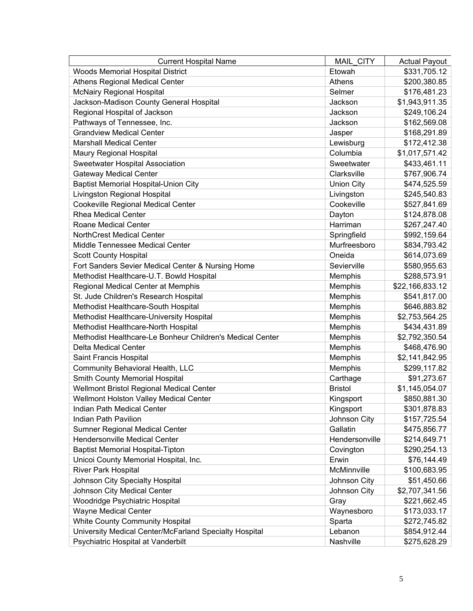| <b>Current Hospital Name</b>                              | MAIL CITY         | <b>Actual Payout</b> |
|-----------------------------------------------------------|-------------------|----------------------|
| Woods Memorial Hospital District                          | Etowah            | \$331,705.12         |
| <b>Athens Regional Medical Center</b>                     | Athens            | \$200,380.85         |
| <b>McNairy Regional Hospital</b>                          | Selmer            | \$176,481.23         |
| Jackson-Madison County General Hospital                   | Jackson           | \$1,943,911.35       |
| Regional Hospital of Jackson                              | Jackson           | \$249,106.24         |
| Pathways of Tennessee, Inc.                               | Jackson           | \$162,569.08         |
| <b>Grandview Medical Center</b>                           | Jasper            | \$168,291.89         |
| <b>Marshall Medical Center</b>                            | Lewisburg         | \$172,412.38         |
| <b>Maury Regional Hospital</b>                            | Columbia          | \$1,017,571.42       |
| Sweetwater Hospital Association                           | Sweetwater        | \$433,461.11         |
| <b>Gateway Medical Center</b>                             | Clarksville       | \$767,906.74         |
| <b>Baptist Memorial Hospital-Union City</b>               | <b>Union City</b> | \$474,525.59         |
| Livingston Regional Hospital                              | Livingston        | \$245,540.83         |
| Cookeville Regional Medical Center                        | Cookeville        | \$527,841.69         |
| <b>Rhea Medical Center</b>                                | Dayton            | \$124,878.08         |
| Roane Medical Center                                      | Harriman          | \$267,247.40         |
| <b>NorthCrest Medical Center</b>                          | Springfield       | \$992,159.64         |
| Middle Tennessee Medical Center                           | Murfreesboro      | \$834,793.42         |
| <b>Scott County Hospital</b>                              | Oneida            | \$614,073.69         |
| Fort Sanders Sevier Medical Center & Nursing Home         | Sevierville       | \$580,955.63         |
| Methodist Healthcare-U.T. Bowld Hospital                  | Memphis           | \$288,573.91         |
| Regional Medical Center at Memphis                        | Memphis           | \$22,166,833.12      |
| St. Jude Children's Research Hospital                     | Memphis           | \$541,817.00         |
| Methodist Healthcare-South Hospital                       | Memphis           | \$646,883.82         |
| Methodist Healthcare-University Hospital                  | Memphis           | \$2,753,564.25       |
| Methodist Healthcare-North Hospital                       | Memphis           | \$434,431.89         |
| Methodist Healthcare-Le Bonheur Children's Medical Center | Memphis           | \$2,792,350.54       |
| <b>Delta Medical Center</b>                               | Memphis           | \$468,476.90         |
| Saint Francis Hospital                                    | Memphis           | \$2,141,842.95       |
| Community Behavioral Health, LLC                          | Memphis           | \$299,117.82         |
| Smith County Memorial Hospital                            | Carthage          | \$91,273.67          |
| Wellmont Bristol Regional Medical Center                  | <b>Bristol</b>    | \$1,145,054.07       |
| Wellmont Holston Valley Medical Center                    | Kingsport         | \$850,881.30         |
| Indian Path Medical Center                                | Kingsport         | \$301,878.83         |
| <b>Indian Path Pavilion</b>                               | Johnson City      | \$157,725.54         |
| Sumner Regional Medical Center                            | Gallatin          | \$475,856.77         |
| <b>Hendersonville Medical Center</b>                      | Hendersonville    | \$214,649.71         |
| <b>Baptist Memorial Hospital-Tipton</b>                   | Covington         | \$290,254.13         |
| Unicoi County Memorial Hospital, Inc.                     | Erwin             | \$76,144.49          |
| <b>River Park Hospital</b>                                | McMinnville       | \$100,683.95         |
| Johnson City Specialty Hospital                           | Johnson City      | \$51,450.66          |
| Johnson City Medical Center                               | Johnson City      | \$2,707,341.56       |
| Woodridge Psychiatric Hospital                            | Gray              | \$221,662.45         |
| <b>Wayne Medical Center</b>                               | Waynesboro        | \$173,033.17         |
| <b>White County Community Hospital</b>                    | Sparta            | \$272,745.82         |
| University Medical Center/McFarland Specialty Hospital    | Lebanon           | \$854,912.44         |
| Psychiatric Hospital at Vanderbilt                        | Nashville         | \$275,628.29         |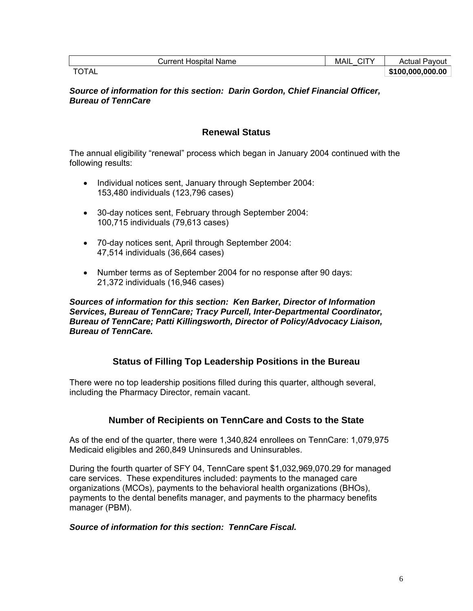| <b>Current Hospital Name</b> | MAIL<br>. . | Pavout<br>Actual |
|------------------------------|-------------|------------------|
| <b>TOTAL</b>                 |             | \$100,000,000.00 |

*Source of information for this section: Darin Gordon, Chief Financial Officer, Bureau of TennCare* 

## **Renewal Status**

The annual eligibility "renewal" process which began in January 2004 continued with the following results:

- Individual notices sent, January through September 2004: 153,480 individuals (123,796 cases)
- 30-day notices sent, February through September 2004: 100,715 individuals (79,613 cases)
- 70-day notices sent, April through September 2004: 47,514 individuals (36,664 cases)
- Number terms as of September 2004 for no response after 90 days: 21,372 individuals (16,946 cases)

### *Sources of information for this section: Ken Barker, Director of Information Services, Bureau of TennCare; Tracy Purcell, Inter-Departmental Coordinator, Bureau of TennCare; Patti Killingsworth, Director of Policy/Advocacy Liaison, Bureau of TennCare.*

## **Status of Filling Top Leadership Positions in the Bureau**

There were no top leadership positions filled during this quarter, although several, including the Pharmacy Director, remain vacant.

## **Number of Recipients on TennCare and Costs to the State**

As of the end of the quarter, there were 1,340,824 enrollees on TennCare: 1,079,975 Medicaid eligibles and 260,849 Uninsureds and Uninsurables.

During the fourth quarter of SFY 04, TennCare spent \$1,032,969,070.29 for managed care services. These expenditures included: payments to the managed care organizations (MCOs), payments to the behavioral health organizations (BHOs), payments to the dental benefits manager, and payments to the pharmacy benefits manager (PBM).

#### *Source of information for this section: TennCare Fiscal.*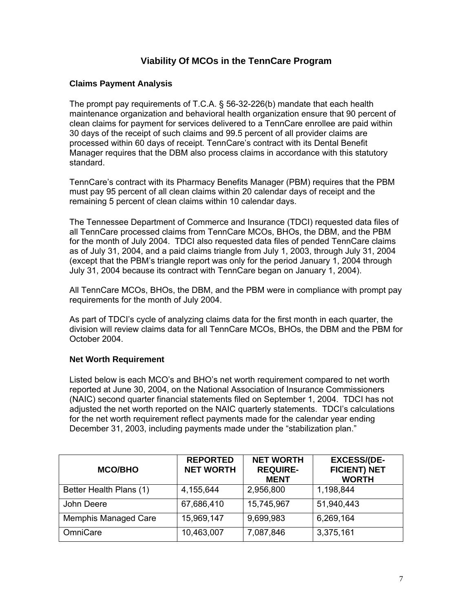## **Viability Of MCOs in the TennCare Program**

## **Claims Payment Analysis**

The prompt pay requirements of T.C.A. § 56-32-226(b) mandate that each health maintenance organization and behavioral health organization ensure that 90 percent of clean claims for payment for services delivered to a TennCare enrollee are paid within 30 days of the receipt of such claims and 99.5 percent of all provider claims are processed within 60 days of receipt. TennCare's contract with its Dental Benefit Manager requires that the DBM also process claims in accordance with this statutory standard.

TennCare's contract with its Pharmacy Benefits Manager (PBM) requires that the PBM must pay 95 percent of all clean claims within 20 calendar days of receipt and the remaining 5 percent of clean claims within 10 calendar days.

The Tennessee Department of Commerce and Insurance (TDCI) requested data files of all TennCare processed claims from TennCare MCOs, BHOs, the DBM, and the PBM for the month of July 2004. TDCI also requested data files of pended TennCare claims as of July 31, 2004, and a paid claims triangle from July 1, 2003, through July 31, 2004 (except that the PBM's triangle report was only for the period January 1, 2004 through July 31, 2004 because its contract with TennCare began on January 1, 2004).

All TennCare MCOs, BHOs, the DBM, and the PBM were in compliance with prompt pay requirements for the month of July 2004.

As part of TDCI's cycle of analyzing claims data for the first month in each quarter, the division will review claims data for all TennCare MCOs, BHOs, the DBM and the PBM for October 2004.

#### **Net Worth Requirement**

Listed below is each MCO's and BHO's net worth requirement compared to net worth reported at June 30, 2004, on the National Association of Insurance Commissioners (NAIC) second quarter financial statements filed on September 1, 2004. TDCI has not adjusted the net worth reported on the NAIC quarterly statements. TDCI's calculations for the net worth requirement reflect payments made for the calendar year ending December 31, 2003, including payments made under the "stabilization plan."

| <b>MCO/BHO</b>              | <b>REPORTED</b><br><b>NET WORTH</b> | <b>NET WORTH</b><br><b>REQUIRE-</b><br><b>MENT</b> | <b>EXCESS/(DE-</b><br><b>FICIENT) NET</b><br><b>WORTH</b> |
|-----------------------------|-------------------------------------|----------------------------------------------------|-----------------------------------------------------------|
| Better Health Plans (1)     | 4,155,644                           | 2,956,800                                          | 1,198,844                                                 |
| John Deere                  | 67,686,410                          | 15,745,967                                         | 51,940,443                                                |
| <b>Memphis Managed Care</b> | 15,969,147                          | 9,699,983                                          | 6,269,164                                                 |
| OmniCare                    | 10,463,007                          | 7,087,846                                          | 3,375,161                                                 |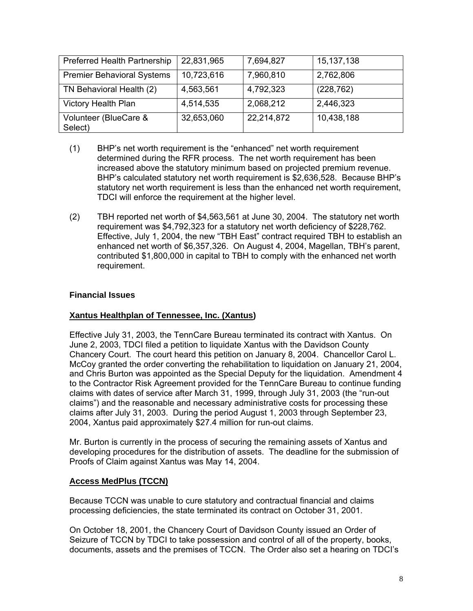| <b>Preferred Health Partnership</b> | 22,831,965 | 7,694,827  | 15,137,138 |
|-------------------------------------|------------|------------|------------|
| <b>Premier Behavioral Systems</b>   | 10,723,616 | 7,960,810  | 2,762,806  |
| TN Behavioral Health (2)            | 4,563,561  | 4,792,323  | (228, 762) |
| <b>Victory Health Plan</b>          | 4,514,535  | 2,068,212  | 2,446,323  |
| Volunteer (BlueCare &<br>Select)    | 32,653,060 | 22,214,872 | 10,438,188 |

- (1) BHP's net worth requirement is the "enhanced" net worth requirement determined during the RFR process. The net worth requirement has been increased above the statutory minimum based on projected premium revenue. BHP's calculated statutory net worth requirement is \$2,636,528. Because BHP's statutory net worth requirement is less than the enhanced net worth requirement, TDCI will enforce the requirement at the higher level.
- (2) TBH reported net worth of \$4,563,561 at June 30, 2004. The statutory net worth requirement was \$4,792,323 for a statutory net worth deficiency of \$228,762. Effective, July 1, 2004, the new "TBH East" contract required TBH to establish an enhanced net worth of \$6,357,326. On August 4, 2004, Magellan, TBH's parent, contributed \$1,800,000 in capital to TBH to comply with the enhanced net worth requirement.

## **Financial Issues**

## **Xantus Healthplan of Tennessee, Inc. (Xantus)**

Effective July 31, 2003, the TennCare Bureau terminated its contract with Xantus. On June 2, 2003, TDCI filed a petition to liquidate Xantus with the Davidson County Chancery Court. The court heard this petition on January 8, 2004. Chancellor Carol L. McCoy granted the order converting the rehabilitation to liquidation on January 21, 2004, and Chris Burton was appointed as the Special Deputy for the liquidation. Amendment 4 to the Contractor Risk Agreement provided for the TennCare Bureau to continue funding claims with dates of service after March 31, 1999, through July 31, 2003 (the "run-out claims") and the reasonable and necessary administrative costs for processing these claims after July 31, 2003. During the period August 1, 2003 through September 23, 2004, Xantus paid approximately \$27.4 million for run-out claims.

Mr. Burton is currently in the process of securing the remaining assets of Xantus and developing procedures for the distribution of assets. The deadline for the submission of Proofs of Claim against Xantus was May 14, 2004.

## **Access MedPlus (TCCN)**

Because TCCN was unable to cure statutory and contractual financial and claims processing deficiencies, the state terminated its contract on October 31, 2001.

On October 18, 2001, the Chancery Court of Davidson County issued an Order of Seizure of TCCN by TDCI to take possession and control of all of the property, books, documents, assets and the premises of TCCN. The Order also set a hearing on TDCI's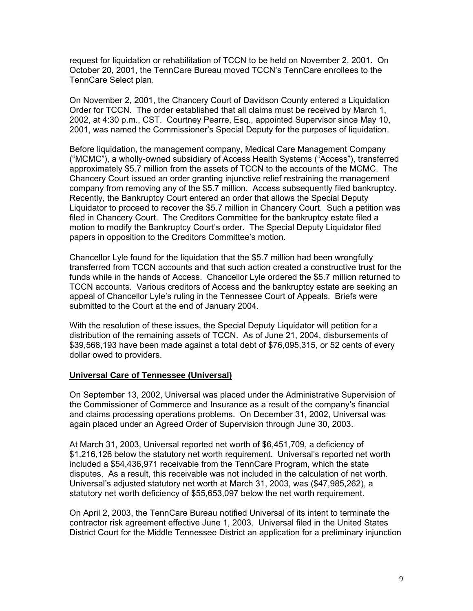request for liquidation or rehabilitation of TCCN to be held on November 2, 2001. On October 20, 2001, the TennCare Bureau moved TCCN's TennCare enrollees to the TennCare Select plan.

On November 2, 2001, the Chancery Court of Davidson County entered a Liquidation Order for TCCN. The order established that all claims must be received by March 1, 2002, at 4:30 p.m., CST. Courtney Pearre, Esq., appointed Supervisor since May 10, 2001, was named the Commissioner's Special Deputy for the purposes of liquidation.

Before liquidation, the management company, Medical Care Management Company ("MCMC"), a wholly-owned subsidiary of Access Health Systems ("Access"), transferred approximately \$5.7 million from the assets of TCCN to the accounts of the MCMC. The Chancery Court issued an order granting injunctive relief restraining the management company from removing any of the \$5.7 million. Access subsequently filed bankruptcy. Recently, the Bankruptcy Court entered an order that allows the Special Deputy Liquidator to proceed to recover the \$5.7 million in Chancery Court. Such a petition was filed in Chancery Court. The Creditors Committee for the bankruptcy estate filed a motion to modify the Bankruptcy Court's order. The Special Deputy Liquidator filed papers in opposition to the Creditors Committee's motion.

Chancellor Lyle found for the liquidation that the \$5.7 million had been wrongfully transferred from TCCN accounts and that such action created a constructive trust for the funds while in the hands of Access. Chancellor Lyle ordered the \$5.7 million returned to TCCN accounts. Various creditors of Access and the bankruptcy estate are seeking an appeal of Chancellor Lyle's ruling in the Tennessee Court of Appeals. Briefs were submitted to the Court at the end of January 2004.

With the resolution of these issues, the Special Deputy Liquidator will petition for a distribution of the remaining assets of TCCN. As of June 21, 2004, disbursements of \$39,568,193 have been made against a total debt of \$76,095,315, or 52 cents of every dollar owed to providers.

#### **Universal Care of Tennessee (Universal)**

On September 13, 2002, Universal was placed under the Administrative Supervision of the Commissioner of Commerce and Insurance as a result of the company's financial and claims processing operations problems. On December 31, 2002, Universal was again placed under an Agreed Order of Supervision through June 30, 2003.

At March 31, 2003, Universal reported net worth of \$6,451,709, a deficiency of \$1,216,126 below the statutory net worth requirement. Universal's reported net worth included a \$54,436,971 receivable from the TennCare Program, which the state disputes. As a result, this receivable was not included in the calculation of net worth. Universal's adjusted statutory net worth at March 31, 2003, was (\$47,985,262), a statutory net worth deficiency of \$55,653,097 below the net worth requirement.

On April 2, 2003, the TennCare Bureau notified Universal of its intent to terminate the contractor risk agreement effective June 1, 2003. Universal filed in the United States District Court for the Middle Tennessee District an application for a preliminary injunction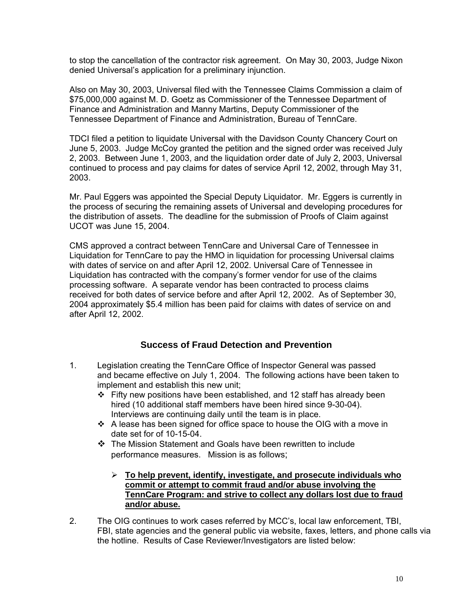to stop the cancellation of the contractor risk agreement. On May 30, 2003, Judge Nixon denied Universal's application for a preliminary injunction.

Also on May 30, 2003, Universal filed with the Tennessee Claims Commission a claim of \$75,000,000 against M. D. Goetz as Commissioner of the Tennessee Department of Finance and Administration and Manny Martins, Deputy Commissioner of the Tennessee Department of Finance and Administration, Bureau of TennCare.

TDCI filed a petition to liquidate Universal with the Davidson County Chancery Court on June 5, 2003. Judge McCoy granted the petition and the signed order was received July 2, 2003. Between June 1, 2003, and the liquidation order date of July 2, 2003, Universal continued to process and pay claims for dates of service April 12, 2002, through May 31, 2003.

Mr. Paul Eggers was appointed the Special Deputy Liquidator. Mr. Eggers is currently in the process of securing the remaining assets of Universal and developing procedures for the distribution of assets. The deadline for the submission of Proofs of Claim against UCOT was June 15, 2004.

CMS approved a contract between TennCare and Universal Care of Tennessee in Liquidation for TennCare to pay the HMO in liquidation for processing Universal claims with dates of service on and after April 12, 2002. Universal Care of Tennessee in Liquidation has contracted with the company's former vendor for use of the claims processing software. A separate vendor has been contracted to process claims received for both dates of service before and after April 12, 2002. As of September 30, 2004 approximately \$5.4 million has been paid for claims with dates of service on and after April 12, 2002.

## **Success of Fraud Detection and Prevention**

- 1. Legislation creating the TennCare Office of Inspector General was passed and became effective on July 1, 2004. The following actions have been taken to implement and establish this new unit;
	- $\div$  Fifty new positions have been established, and 12 staff has already been hired (10 additional staff members have been hired since 9-30-04). Interviews are continuing daily until the team is in place.
	- $\cdot \cdot$  A lease has been signed for office space to house the OIG with a move in date set for of 10-15-04.
	- The Mission Statement and Goals have been rewritten to include performance measures. Mission is as follows;
		- ¾ **To help prevent, identify, investigate, and prosecute individuals who commit or attempt to commit fraud and/or abuse involving the TennCare Program: and strive to collect any dollars lost due to fraud and/or abuse.**
- 2. The OIG continues to work cases referred by MCC's, local law enforcement, TBI, FBI, state agencies and the general public via website, faxes, letters, and phone calls via the hotline. Results of Case Reviewer/Investigators are listed below: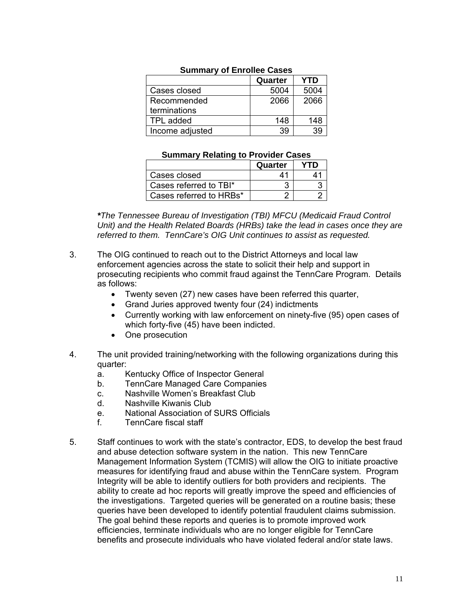| <b>UUIIIIIIIIIIIII</b> UI LIIIUII <del>CC</del> UQSCS |         |            |
|-------------------------------------------------------|---------|------------|
|                                                       | Quarter | <b>YTD</b> |
| Cases closed                                          | 5004    | 5004       |
| Recommended                                           | 2066    | 2066       |
| terminations                                          |         |            |
| TPL added                                             | 148     | 148        |
| Income adjusted                                       | 39      | 39         |

## **Summary of Enrollee Cases**

### **Summary Relating to Provider Cases**

|                         | Quarter |                             |
|-------------------------|---------|-----------------------------|
| Cases closed            | 41      | $\mathbf{\Lambda}^{\prime}$ |
| Cases referred to TBI*  |         |                             |
| Cases referred to HRBs* |         |                             |

*\*The Tennessee Bureau of Investigation (TBI) MFCU (Medicaid Fraud Control Unit) and the Health Related Boards (HRBs) take the lead in cases once they are referred to them. TennCare's OIG Unit continues to assist as requested.* 

- 3. The OIG continued to reach out to the District Attorneys and local law enforcement agencies across the state to solicit their help and support in prosecuting recipients who commit fraud against the TennCare Program. Details as follows:
	- Twenty seven (27) new cases have been referred this quarter,
	- Grand Juries approved twenty four (24) indictments
	- Currently working with law enforcement on ninety-five (95) open cases of which forty-five (45) have been indicted.
	- One prosecution
- 4. The unit provided training/networking with the following organizations during this quarter:<br>a.
	- Kentucky Office of Inspector General
	- b. TennCare Managed Care Companies
	- c. Nashville Women's Breakfast Club
	- d. Nashville Kiwanis Club
	- e. National Association of SURS Officials
	- f. TennCare fiscal staff
- 5. Staff continues to work with the state's contractor, EDS, to develop the best fraud and abuse detection software system in the nation. This new TennCare Management Information System (TCMIS) will allow the OIG to initiate proactive measures for identifying fraud and abuse within the TennCare system. Program Integrity will be able to identify outliers for both providers and recipients. The ability to create ad hoc reports will greatly improve the speed and efficiencies of the investigations. Targeted queries will be generated on a routine basis; these queries have been developed to identify potential fraudulent claims submission. The goal behind these reports and queries is to promote improved work efficiencies, terminate individuals who are no longer eligible for TennCare benefits and prosecute individuals who have violated federal and/or state laws.